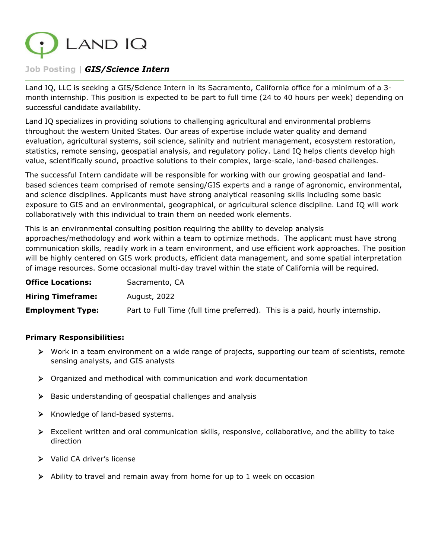

# **Job Posting |** *GIS/Science Intern*

Land IQ, LLC is seeking a GIS/Science Intern in its Sacramento, California office for a minimum of a 3 month internship. This position is expected to be part to full time (24 to 40 hours per week) depending on successful candidate availability.

Land IQ specializes in providing solutions to challenging agricultural and environmental problems throughout the western United States. Our areas of expertise include water quality and demand evaluation, agricultural systems, soil science, salinity and nutrient management, ecosystem restoration, statistics, remote sensing, geospatial analysis, and regulatory policy. Land IQ helps clients develop high value, scientifically sound, proactive solutions to their complex, large-scale, land-based challenges.

The successful Intern candidate will be responsible for working with our growing geospatial and landbased sciences team comprised of remote sensing/GIS experts and a range of agronomic, environmental, and science disciplines. Applicants must have strong analytical reasoning skills including some basic exposure to GIS and an environmental, geographical, or agricultural science discipline. Land IQ will work collaboratively with this individual to train them on needed work elements.

This is an environmental consulting position requiring the ability to develop analysis approaches/methodology and work within a team to optimize methods. The applicant must have strong communication skills, readily work in a team environment, and use efficient work approaches. The position will be highly centered on GIS work products, efficient data management, and some spatial interpretation of image resources. Some occasional multi-day travel within the state of California will be required.

| <b>Office Locations:</b> | Sacramento, CA                                                              |  |
|--------------------------|-----------------------------------------------------------------------------|--|
| <b>Hiring Timeframe:</b> | August, 2022                                                                |  |
| <b>Employment Type:</b>  | Part to Full Time (full time preferred). This is a paid, hourly internship. |  |

#### **Primary Responsibilities:**

- $\triangleright$  Work in a team environment on a wide range of projects, supporting our team of scientists, remote sensing analysts, and GIS analysts
- $\triangleright$  Organized and methodical with communication and work documentation
- $\triangleright$  Basic understanding of geospatial challenges and analysis
- $\triangleright$  Knowledge of land-based systems.
- Excellent written and oral communication skills, responsive, collaborative, and the ability to take direction
- > Valid CA driver's license
- $\triangleright$  Ability to travel and remain away from home for up to 1 week on occasion